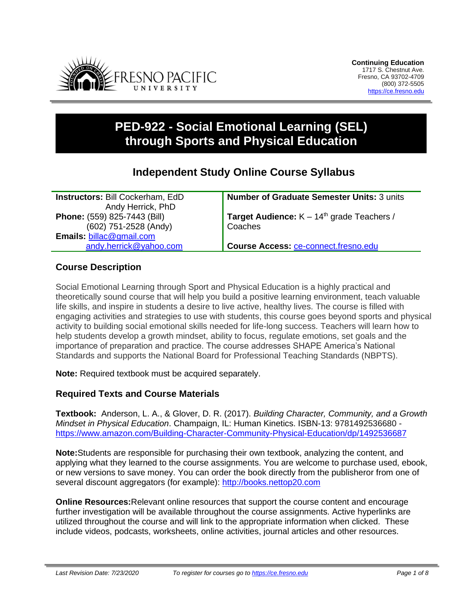

# **PED-922 - Social Emotional Learning (SEL) through Sports and Physical Education**

# **Independent Study Online Course Syllabus**

| <b>Instructors: Bill Cockerham, EdD</b> | <b>Number of Graduate Semester Units: 3 units</b> |
|-----------------------------------------|---------------------------------------------------|
| Andy Herrick, PhD                       |                                                   |
| Phone: (559) 825-7443 (Bill)            | Target Audience: K - 14th grade Teachers /        |
| (602) 751-2528 (Andy)                   | Coaches                                           |
| Emails: billac@gmail.com                |                                                   |
| andy.herrick@yahoo.com                  | <b>Course Access: ce-connect.fresno.edu</b>       |

# **Course Description**

Social Emotional Learning through Sport and Physical Education is a highly practical and theoretically sound course that will help you build a positive learning environment, teach valuable life skills, and inspire in students a desire to live active, healthy lives. The course is filled with engaging activities and strategies to use with students, this course goes beyond sports and physical activity to building social emotional skills needed for life-long success. Teachers will learn how to help students develop a growth mindset, ability to focus, regulate emotions, set goals and the importance of preparation and practice. The course addresses SHAPE America's National Standards and supports the National Board for Professional Teaching Standards (NBPTS).

**Note:** Required textbook must be acquired separately.

# **Required Texts and Course Materials**

**Textbook:** Anderson, L. A., & Glover, D. R. (2017). *Building Character, Community, and a Growth Mindset in Physical Education*. Champaign, IL: Human Kinetics. ISBN-13: 9781492536680 <https://www.amazon.com/Building-Character-Community-Physical-Education/dp/1492536687>

**Note:**Students are responsible for purchasing their own textbook, analyzing the content, and applying what they learned to the course assignments. You are welcome to purchase used, ebook, or new versions to save money. You can order the book directly from the publisheror from one of several discount aggregators (for example): [http://books.nettop20.com](http://books.nettop20.com/)

**Online Resources:**Relevant online resources that support the course content and encourage further investigation will be available throughout the course assignments. Active hyperlinks are utilized throughout the course and will link to the appropriate information when clicked. These include videos, podcasts, worksheets, online activities, journal articles and other resources.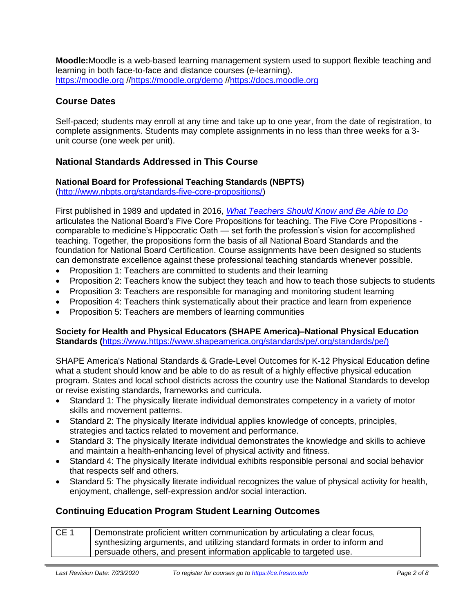**Moodle:**Moodle is a web-based learning management system used to support flexible teaching and learning in both face-to-face and distance courses (e-learning). [https://moodle.org](https://moodle.org/) /[/https://moodle.org/demo](https://moodle.org/demo) /[/https://docs.moodle.org](https://docs.moodle.org/)

# **Course Dates**

Self-paced; students may enroll at any time and take up to one year, from the date of registration, to complete assignments. Students may complete assignments in no less than three weeks for a 3 unit course (one week per unit).

# **National Standards Addressed in This Course**

### **National Board for Professional Teaching Standards (NBPTS)**

[\(http://www.nbpts.org/standards-five-core-propositions/\)](http://www.nbpts.org/standards-five-core-propositions/)

First published in 1989 and updated in 2016, *[What Teachers Should Know and Be Able to Do](http://www.accomplishedteacher.org/)* articulates the National Board's Five Core Propositions for teaching. The Five Core Propositions comparable to medicine's Hippocratic Oath — set forth the profession's vision for accomplished teaching. Together, the propositions form the basis of all National Board Standards and the foundation for National Board Certification. Course assignments have been designed so students can demonstrate excellence against these professional teaching standards whenever possible.

- Proposition 1: Teachers are committed to students and their learning
- Proposition 2: Teachers know the subject they teach and how to teach those subjects to students
- Proposition 3: Teachers are responsible for managing and monitoring student learning
- Proposition 4: Teachers think systematically about their practice and learn from experience
- Proposition 5: Teachers are members of learning communities

#### **Society for Health and Physical Educators (SHAPE America)–National Physical Education Standards (**https://www[.https://www.shapeamerica.org/standards/pe/.](https://www.shapeamerica.org/standards/pe/)org/standards/pe/)

SHAPE America's National Standards & Grade-Level Outcomes for K-12 Physical Education define what a student should know and be able to do as result of a highly effective physical education program. States and local school districts across the country use the National Standards to develop or revise existing standards, frameworks and curricula.

- Standard 1: The physically literate individual demonstrates competency in a variety of motor skills and movement patterns.
- Standard 2: The physically literate individual applies knowledge of concepts, principles, strategies and tactics related to movement and performance.
- Standard 3: The physically literate individual demonstrates the knowledge and skills to achieve and maintain a health-enhancing level of physical activity and fitness.
- Standard 4: The physically literate individual exhibits responsible personal and social behavior that respects self and others.
- Standard 5: The physically literate individual recognizes the value of physical activity for health, enjoyment, challenge, self-expression and/or social interaction.

# **Continuing Education Program Student Learning Outcomes**

| CE 1 | Demonstrate proficient written communication by articulating a clear focus,   |
|------|-------------------------------------------------------------------------------|
|      | synthesizing arguments, and utilizing standard formats in order to inform and |
|      | persuade others, and present information applicable to targeted use.          |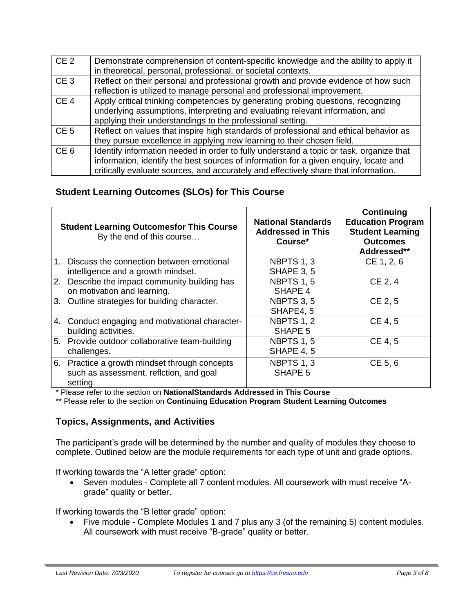| CE <sub>2</sub> | Demonstrate comprehension of content-specific knowledge and the ability to apply it<br>in theoretical, personal, professional, or societal contexts.                                                                                                                    |
|-----------------|-------------------------------------------------------------------------------------------------------------------------------------------------------------------------------------------------------------------------------------------------------------------------|
| CE <sub>3</sub> | Reflect on their personal and professional growth and provide evidence of how such<br>reflection is utilized to manage personal and professional improvement.                                                                                                           |
| CE <sub>4</sub> | Apply critical thinking competencies by generating probing questions, recognizing<br>underlying assumptions, interpreting and evaluating relevant information, and<br>applying their understandings to the professional setting.                                        |
| CE <sub>5</sub> | Reflect on values that inspire high standards of professional and ethical behavior as<br>they pursue excellence in applying new learning to their chosen field.                                                                                                         |
| CE <sub>6</sub> | Identify information needed in order to fully understand a topic or task, organize that<br>information, identify the best sources of information for a given enquiry, locate and<br>critically evaluate sources, and accurately and effectively share that information. |

# **Student Learning Outcomes (SLOs) for This Course**

| <b>Student Learning Outcomesfor This Course</b><br>By the end of this course                         | <b>National Standards</b><br><b>Addressed in This</b><br>Course* | Continuing<br><b>Education Program</b><br><b>Student Learning</b><br><b>Outcomes</b><br>Addressed** |
|------------------------------------------------------------------------------------------------------|------------------------------------------------------------------|-----------------------------------------------------------------------------------------------------|
| 1. Discuss the connection between emotional                                                          | NBPTS 1, 3                                                       | CE 1, 2, 6                                                                                          |
| intelligence and a growth mindset.                                                                   | <b>SHAPE 3, 5</b>                                                |                                                                                                     |
| 2. Describe the impact community building has                                                        | <b>NBPTS 1, 5</b>                                                | CE 2, 4                                                                                             |
| on motivation and learning.                                                                          | SHAPE 4                                                          |                                                                                                     |
| 3. Outline strategies for building character.                                                        | <b>NBPTS 3, 5</b>                                                | CE 2, 5                                                                                             |
|                                                                                                      | SHAPE4, 5                                                        |                                                                                                     |
| 4. Conduct engaging and motivational character-                                                      | <b>NBPTS 1, 2</b>                                                | CE 4, 5                                                                                             |
| building activities.                                                                                 | SHAPE 5                                                          |                                                                                                     |
| 5. Provide outdoor collaborative team-building                                                       | <b>NBPTS 1, 5</b>                                                | CE 4, 5                                                                                             |
| challenges.                                                                                          | <b>SHAPE 4, 5</b>                                                |                                                                                                     |
| 6. Practice a growth mindset through concepts<br>such as assessment, reflction, and goal<br>setting. | NBPTS 1, 3<br>SHAPE 5                                            | CE 5, 6                                                                                             |

\* Please refer to the section on **NationalStandards Addressed in This Course**

#### \*\* Please refer to the section on **Continuing Education Program Student Learning Outcomes**

# **Topics, Assignments, and Activities**

The participant's grade will be determined by the number and quality of modules they choose to complete. Outlined below are the module requirements for each type of unit and grade options.

If working towards the "A letter grade" option:

• Seven modules - Complete all 7 content modules. All coursework with must receive "Agrade" quality or better.

If working towards the "B letter grade" option:

• Five module - Complete Modules 1 and 7 plus any 3 (of the remaining 5) content modules. All coursework with must receive "B-grade" quality or better.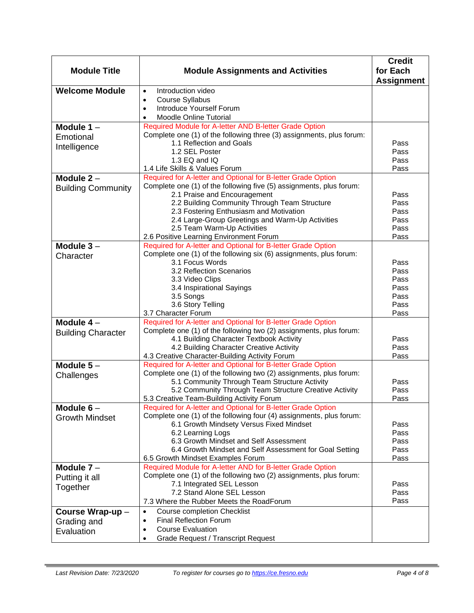|                           |                                                                                                                                    | <b>Credit</b>     |
|---------------------------|------------------------------------------------------------------------------------------------------------------------------------|-------------------|
| <b>Module Title</b>       | <b>Module Assignments and Activities</b>                                                                                           | for Each          |
|                           |                                                                                                                                    | <b>Assignment</b> |
| <b>Welcome Module</b>     | Introduction video<br>$\bullet$                                                                                                    |                   |
|                           | Course Syllabus<br>$\bullet$                                                                                                       |                   |
|                           | Introduce Yourself Forum<br>$\bullet$                                                                                              |                   |
|                           | Moodle Online Tutorial                                                                                                             |                   |
|                           | $\bullet$<br>Required Module for A-letter AND B-letter Grade Option                                                                |                   |
| Module $1 -$              | Complete one (1) of the following three (3) assignments, plus forum:                                                               |                   |
| Emotional                 | 1.1 Reflection and Goals                                                                                                           | Pass              |
| Intelligence              | 1.2 SEL Poster                                                                                                                     | Pass              |
|                           | 1.3 EQ and IQ                                                                                                                      | Pass              |
|                           | 1.4 Life Skills & Values Forum                                                                                                     | Pass              |
| Module $2 -$              | Required for A-letter and Optional for B-letter Grade Option                                                                       |                   |
|                           | Complete one (1) of the following five (5) assignments, plus forum:                                                                |                   |
| <b>Building Community</b> | 2.1 Praise and Encouragement                                                                                                       | Pass              |
|                           | 2.2 Building Community Through Team Structure                                                                                      | Pass              |
|                           | 2.3 Fostering Enthusiasm and Motivation                                                                                            | Pass              |
|                           | 2.4 Large-Group Greetings and Warm-Up Activities                                                                                   | Pass              |
|                           | 2.5 Team Warm-Up Activities                                                                                                        | Pass              |
|                           | 2.6 Positive Learning Environment Forum                                                                                            | Pass              |
| Module $3-$               | Required for A-letter and Optional for B-letter Grade Option                                                                       |                   |
| Character                 | Complete one (1) of the following six (6) assignments, plus forum:                                                                 |                   |
|                           | 3.1 Focus Words                                                                                                                    | Pass              |
|                           | 3.2 Reflection Scenarios                                                                                                           | Pass              |
|                           | 3.3 Video Clips                                                                                                                    | Pass              |
|                           | 3.4 Inspirational Sayings                                                                                                          | Pass              |
|                           | 3.5 Songs                                                                                                                          | Pass              |
|                           | 3.6 Story Telling                                                                                                                  | Pass              |
|                           | 3.7 Character Forum                                                                                                                | Pass              |
| Module $4-$               | Required for A-letter and Optional for B-letter Grade Option                                                                       |                   |
| <b>Building Character</b> | Complete one (1) of the following two (2) assignments, plus forum:                                                                 |                   |
|                           | 4.1 Building Character Textbook Activity                                                                                           | Pass              |
|                           | 4.2 Building Character Creative Activity                                                                                           | Pass              |
|                           | 4.3 Creative Character-Building Activity Forum                                                                                     | Pass              |
| Module $5-$               | Required for A-letter and Optional for B-letter Grade Option<br>Complete one (1) of the following two (2) assignments, plus forum: |                   |
| Challenges                | 5.1 Community Through Team Structure Activity                                                                                      | Pass              |
|                           | 5.2 Community Through Team Structure Creative Activity                                                                             | Pass              |
|                           | 5.3 Creative Team-Building Activity Forum                                                                                          | Pass              |
| Module $6-$               | Required for A-letter and Optional for B-letter Grade Option                                                                       |                   |
| <b>Growth Mindset</b>     | Complete one (1) of the following four (4) assignments, plus forum:                                                                |                   |
|                           | 6.1 Growth Mindsety Versus Fixed Mindset                                                                                           | Pass              |
|                           | 6.2 Learning Logs                                                                                                                  | Pass              |
|                           | 6.3 Growth Mindset and Self Assessment                                                                                             | Pass              |
|                           | 6.4 Growth Mindset and Self Assessment for Goal Setting                                                                            | Pass              |
|                           | 6.5 Growth Mindset Examples Forum                                                                                                  | Pass              |
| Module $7 -$              | Required Module for A-letter AND for B-letter Grade Option                                                                         |                   |
| Putting it all            | Complete one (1) of the following two (2) assignments, plus forum:                                                                 |                   |
| Together                  | 7.1 Integrated SEL Lesson                                                                                                          | Pass              |
|                           | 7.2 Stand Alone SEL Lesson                                                                                                         | Pass              |
|                           | 7.3 Where the Rubber Meets the RoadForum                                                                                           | Pass              |
| Course Wrap-up-           | <b>Course completion Checklist</b><br>$\bullet$                                                                                    |                   |
| Grading and               | <b>Final Reflection Forum</b><br>$\bullet$                                                                                         |                   |
| Evaluation                | <b>Course Evaluation</b><br>$\bullet$                                                                                              |                   |
|                           | <b>Grade Request / Transcript Request</b><br>$\bullet$                                                                             |                   |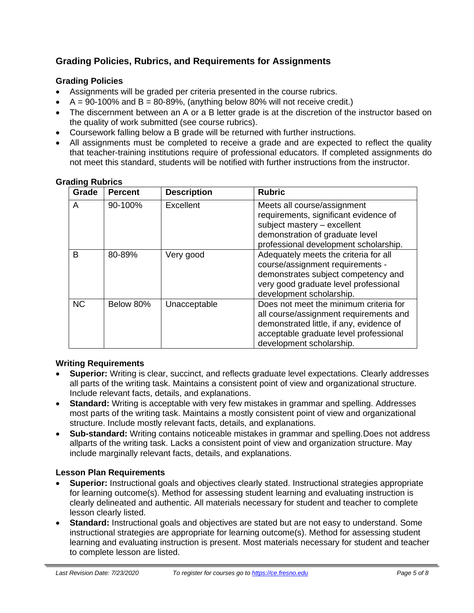# **Grading Policies, Rubrics, and Requirements for Assignments**

# **Grading Policies**

- Assignments will be graded per criteria presented in the course rubrics.
- $A = 90-100\%$  and  $B = 80-89\%$ , (anything below 80% will not receive credit.)
- The discernment between an A or a B letter grade is at the discretion of the instructor based on the quality of work submitted (see course rubrics).
- Coursework falling below a B grade will be returned with further instructions.
- All assignments must be completed to receive a grade and are expected to reflect the quality that teacher-training institutions require of professional educators. If completed assignments do not meet this standard, students will be notified with further instructions from the instructor.

| Grade     | <b>Percent</b> | <b>Description</b> | <b>Rubric</b>                                                                                                                                                                                      |
|-----------|----------------|--------------------|----------------------------------------------------------------------------------------------------------------------------------------------------------------------------------------------------|
| A         | 90-100%        | Excellent          | Meets all course/assignment<br>requirements, significant evidence of<br>subject mastery - excellent<br>demonstration of graduate level<br>professional development scholarship.                    |
| B         | 80-89%         | Very good          | Adequately meets the criteria for all<br>course/assignment requirements -<br>demonstrates subject competency and<br>very good graduate level professional<br>development scholarship.              |
| <b>NC</b> | Below 80%      | Unacceptable       | Does not meet the minimum criteria for<br>all course/assignment requirements and<br>demonstrated little, if any, evidence of<br>acceptable graduate level professional<br>development scholarship. |

#### **Grading Rubrics**

#### **Writing Requirements**

- **Superior:** Writing is clear, succinct, and reflects graduate level expectations. Clearly addresses all parts of the writing task. Maintains a consistent point of view and organizational structure. Include relevant facts, details, and explanations.
- **Standard:** Writing is acceptable with very few mistakes in grammar and spelling. Addresses most parts of the writing task. Maintains a mostly consistent point of view and organizational structure. Include mostly relevant facts, details, and explanations.
- **Sub-standard:** Writing contains noticeable mistakes in grammar and spelling.Does not address allparts of the writing task. Lacks a consistent point of view and organization structure. May include marginally relevant facts, details, and explanations.

#### **Lesson Plan Requirements**

- **Superior:** Instructional goals and objectives clearly stated. Instructional strategies appropriate for learning outcome(s). Method for assessing student learning and evaluating instruction is clearly delineated and authentic. All materials necessary for student and teacher to complete lesson clearly listed.
- **Standard:** Instructional goals and objectives are stated but are not easy to understand. Some instructional strategies are appropriate for learning outcome(s). Method for assessing student learning and evaluating instruction is present. Most materials necessary for student and teacher to complete lesson are listed.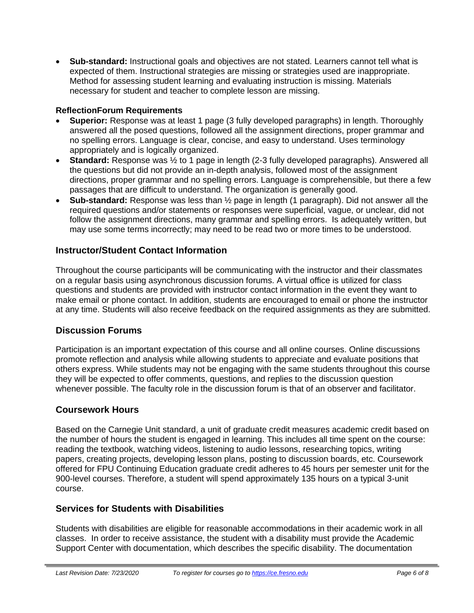• **Sub-standard:** Instructional goals and objectives are not stated. Learners cannot tell what is expected of them. Instructional strategies are missing or strategies used are inappropriate. Method for assessing student learning and evaluating instruction is missing. Materials necessary for student and teacher to complete lesson are missing.

# **ReflectionForum Requirements**

- **Superior:** Response was at least 1 page (3 fully developed paragraphs) in length. Thoroughly answered all the posed questions, followed all the assignment directions, proper grammar and no spelling errors. Language is clear, concise, and easy to understand. Uses terminology appropriately and is logically organized.
- **Standard:** Response was ½ to 1 page in length (2-3 fully developed paragraphs). Answered all the questions but did not provide an in-depth analysis, followed most of the assignment directions, proper grammar and no spelling errors. Language is comprehensible, but there a few passages that are difficult to understand. The organization is generally good.
- **Sub-standard:** Response was less than ½ page in length (1 paragraph). Did not answer all the required questions and/or statements or responses were superficial, vague, or unclear, did not follow the assignment directions, many grammar and spelling errors. Is adequately written, but may use some terms incorrectly; may need to be read two or more times to be understood.

# **Instructor/Student Contact Information**

Throughout the course participants will be communicating with the instructor and their classmates on a regular basis using asynchronous discussion forums. A virtual office is utilized for class questions and students are provided with instructor contact information in the event they want to make email or phone contact. In addition, students are encouraged to email or phone the instructor at any time. Students will also receive feedback on the required assignments as they are submitted.

# **Discussion Forums**

Participation is an important expectation of this course and all online courses. Online discussions promote reflection and analysis while allowing students to appreciate and evaluate positions that others express. While students may not be engaging with the same students throughout this course they will be expected to offer comments, questions, and replies to the discussion question whenever possible. The faculty role in the discussion forum is that of an observer and facilitator.

#### **Coursework Hours**

Based on the Carnegie Unit standard, a unit of graduate credit measures academic credit based on the number of hours the student is engaged in learning. This includes all time spent on the course: reading the textbook, watching videos, listening to audio lessons, researching topics, writing papers, creating projects, developing lesson plans, posting to discussion boards, etc. Coursework offered for FPU Continuing Education graduate credit adheres to 45 hours per semester unit for the 900-level courses. Therefore, a student will spend approximately 135 hours on a typical 3-unit course.

# **Services for Students with Disabilities**

Students with disabilities are eligible for reasonable accommodations in their academic work in all classes. In order to receive assistance, the student with a disability must provide the Academic Support Center with documentation, which describes the specific disability. The documentation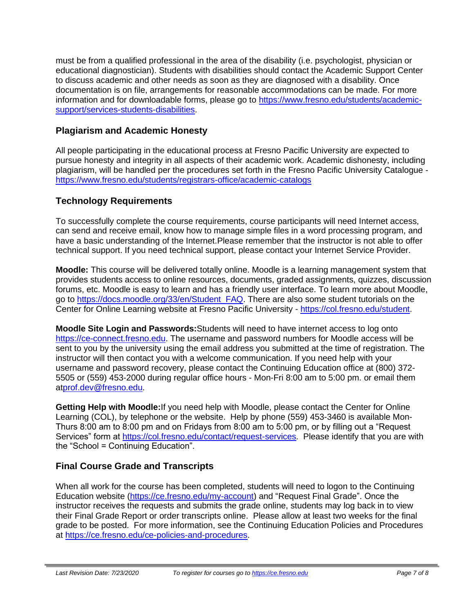must be from a qualified professional in the area of the disability (i.e. psychologist, physician or educational diagnostician). Students with disabilities should contact the Academic Support Center to discuss academic and other needs as soon as they are diagnosed with a disability. Once documentation is on file, arrangements for reasonable accommodations can be made. For more information and for downloadable forms, please go to [https://www.fresno.edu/students/academic](https://www.fresno.edu/students/academic-support/services-students-disabilities)[support/services-students-disabilities.](https://www.fresno.edu/students/academic-support/services-students-disabilities)

# **Plagiarism and Academic Honesty**

All people participating in the educational process at Fresno Pacific University are expected to pursue honesty and integrity in all aspects of their academic work. Academic dishonesty, including plagiarism, will be handled per the procedures set forth in the Fresno Pacific University Catalogue <https://www.fresno.edu/students/registrars-office/academic-catalogs>

# **Technology Requirements**

To successfully complete the course requirements, course participants will need Internet access, can send and receive email, know how to manage simple files in a word processing program, and have a basic understanding of the Internet.Please remember that the instructor is not able to offer technical support. If you need technical support, please contact your Internet Service Provider.

**Moodle:** This course will be delivered totally online. Moodle is a learning management system that provides students access to online resources, documents, graded assignments, quizzes, discussion forums, etc. Moodle is easy to learn and has a friendly user interface. To learn more about Moodle, go to [https://docs.moodle.org/33/en/Student\\_FAQ.](https://docs.moodle.org/33/en/Student_FAQ) There are also some student tutorials on the Center for Online Learning website at Fresno Pacific University - [https://col.fresno.edu/student.](https://col.fresno.edu/student)

**Moodle Site Login and Passwords:**Students will need to have internet access to log onto [https://ce-connect.fresno.edu.](https://ce-connect.fresno.edu/) The username and password numbers for Moodle access will be sent to you by the university using the email address you submitted at the time of registration. The instructor will then contact you with a welcome communication. If you need help with your username and password recovery, please contact the Continuing Education office at (800) 372- 5505 or (559) 453-2000 during regular office hours - Mon-Fri 8:00 am to 5:00 pm. or email them a[tprof.dev@fresno.edu.](mailto:prof.dev@fresno.edu)

**Getting Help with Moodle:**If you need help with Moodle, please contact the Center for Online Learning (COL), by telephone or the website. Help by phone (559) 453-3460 is available Mon-Thurs 8:00 am to 8:00 pm and on Fridays from 8:00 am to 5:00 pm, or by filling out a "Request Services" form at [https://col.fresno.edu/contact/request-services.](https://col.fresno.edu/contact/request-services) Please identify that you are with the "School = Continuing Education".

# **Final Course Grade and Transcripts**

When all work for the course has been completed, students will need to logon to the Continuing Education website [\(https://ce.fresno.edu/my-account\)](https://ce.fresno.edu/my-account) and "Request Final Grade". Once the instructor receives the requests and submits the grade online, students may log back in to view their Final Grade Report or order transcripts online. Please allow at least two weeks for the final grade to be posted. For more information, see the Continuing Education Policies and Procedures at [https://ce.fresno.edu/ce-policies-and-procedures.](https://ce.fresno.edu/ce-policies-and-procedures)